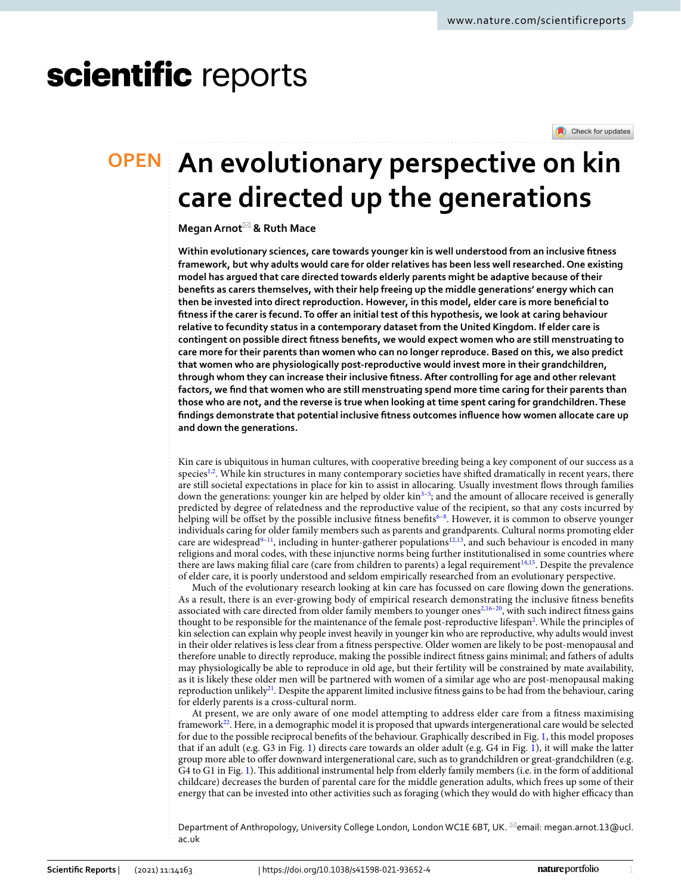# scientific reports

Check for updates

# **An evolutionary perspective on kin OPEN care directed up the generations**

# **MeganArnot**\* **& Ruth Mace**

**Within evolutionary sciences, care towards younger kin is well understood from an inclusive ftness framework, but why adults would care for older relatives has been less well researched. One existing model has argued that care directed towards elderly parents might be adaptive because of their benefts as carers themselves, with their help freeing up the middle generations' energy which can then be invested into direct reproduction. However, in this model, elder care is more benefcial to**  fitness if the carer is fecund. To offer an initial test of this hypothesis, we look at caring behaviour **relative to fecundity status in a contemporary dataset from the United Kingdom. If elder care is contingent on possible direct ftness benefts, we would expect women who are still menstruating to care more for their parents than women who can no longer reproduce. Based on this, we also predict that women who are physiologically post-reproductive would invest more in their grandchildren, through whom they can increase their inclusive ftness. After controlling for age and other relevant factors, we fnd that women who are still menstruating spend more time caring for their parents than those who are not, and the reverse is true when looking at time spent caring for grandchildren. These fndings demonstrate that potential inclusive ftness outcomes infuence how women allocate care up and down the generations.**

Kin care is ubiquitous in human cultures, with cooperative breeding being a key component of our success as a species<sup>1,[2](#page-4-1)</sup>. While kin structures in many contemporary societies have shifted dramatically in recent years, there are still societal expectations in place for kin to assist in allocaring. Usually investment fows through families down the generations: younger kin are helped by older kin<sup>3[–5](#page-5-1)</sup>; and the amount of allocare received is generally predicted by degree of relatedness and the reproductive value of the recipient, so that any costs incurred by helping will be offset by the possible inclusive fitness benefits<sup>6-[8](#page-5-3)</sup>. However, it is common to observe younger individuals caring for older family members such as parents and grandparents. Cultural norms promoting elder care are widespread<sup>[9](#page-5-4)[–11](#page-5-5)</sup>, including in hunter-gatherer populations<sup>[12](#page-5-6),[13](#page-5-7)</sup>, and such behaviour is encoded in many religions and moral codes, with these injunctive norms being further institutionalised in some countries where there are laws making filial care (care from children to parents) a legal requirement<sup>14,[15](#page-5-9)</sup>. Despite the prevalence of elder care, it is poorly understood and seldom empirically researched from an evolutionary perspective.

Much of the evolutionary research looking at kin care has focussed on care fowing down the generations. As a result, there is an ever-growing body of empirical research demonstrating the inclusive ftness benefts associated with care directed from older family members to younger ones<sup>[2](#page-4-1),[16](#page-5-10)[–20](#page-5-11)</sup>, with such indirect fitness gains thought to be responsible for the maintenance of the female post-reproductive lifespan<sup>2</sup>. While the principles of kin selection can explain why people invest heavily in younger kin who are reproductive, why adults would invest in their older relatives is less clear from a ftness perspective. Older women are likely to be post-menopausal and therefore unable to directly reproduce, making the possible indirect ftness gains minimal; and fathers of adults may physiologically be able to reproduce in old age, but their fertility will be constrained by mate availability, as it is likely these older men will be partnered with women of a similar age who are post-menopausal making reproduction unlikely<sup>21</sup>. Despite the apparent limited inclusive fitness gains to be had from the behaviour, caring for elderly parents is a cross-cultural norm.

At present, we are only aware of one model attempting to address elder care from a ftness maximising framewor[k22.](#page-5-13) Here, in a demographic model it is proposed that upwards intergenerational care would be selected for due to the possible reciprocal benefts of the behaviour. Graphically described in Fig. [1,](#page-1-0) this model proposes that if an adult (e.g. G3 in Fig. [1](#page-1-0)) directs care towards an older adult (e.g. G4 in Fig. [1\)](#page-1-0), it will make the latter group more able to ofer downward intergenerational care, such as to grandchildren or great-grandchildren (e.g. G4 to G1 in Fig. [1\)](#page-1-0). Tis additional instrumental help from elderly family members (i.e. in the form of additional childcare) decreases the burden of parental care for the middle generation adults, which frees up some of their energy that can be invested into other activities such as foraging (which they would do with higher efficacy than

Department of Anthropology, University College London, London WC1E 6BT, UK. <sup>⊠</sup>email: megan.arnot.13@ucl. ac.uk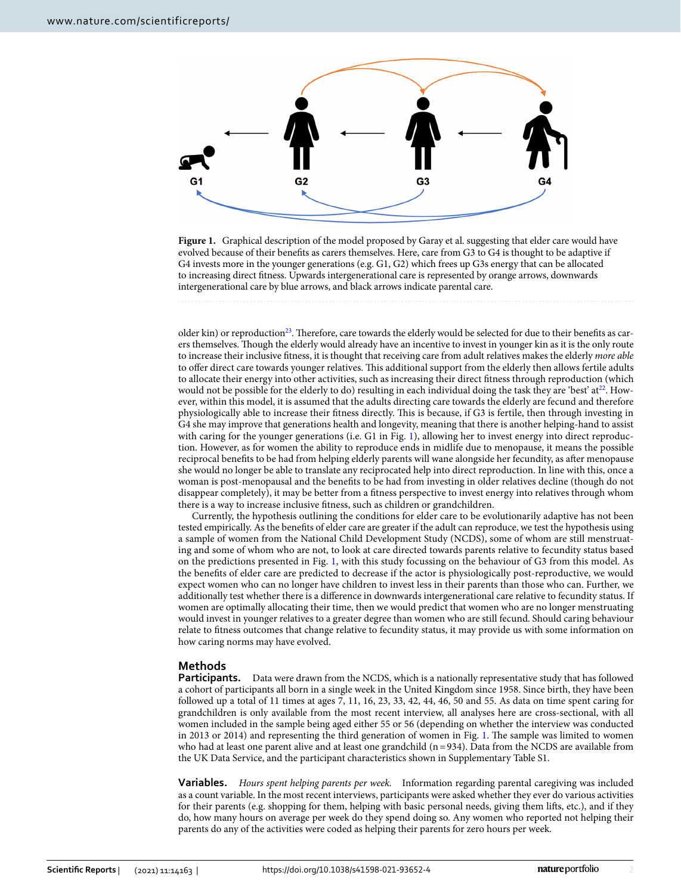

<span id="page-1-0"></span>Figure 1. Graphical description of the model proposed by Garay et al. suggesting that elder care would have evolved because of their benefts as carers themselves. Here, care from G3 to G4 is thought to be adaptive if G4 invests more in the younger generations (e.g. G1, G2) which frees up G3s energy that can be allocated to increasing direct ftness. Upwards intergenerational care is represented by orange arrows, downwards intergenerational care by blue arrows, and black arrows indicate parental care.

older kin) or reproduction<sup>[23](#page-5-14)</sup>. Therefore, care towards the elderly would be selected for due to their benefits as carers themselves. Tough the elderly would already have an incentive to invest in younger kin as it is the only route to increase their inclusive ftness, it is thought that receiving care from adult relatives makes the elderly *more able* to offer direct care towards younger relatives. This additional support from the elderly then allows fertile adults to allocate their energy into other activities, such as increasing their direct ftness through reproduction (which would not be possible for the elderly to do) resulting in each individual doing the task they are 'best' at $^{22}$ . However, within this model, it is assumed that the adults directing care towards the elderly are fecund and therefore physiologically able to increase their ftness directly. Tis is because, if G3 is fertile, then through investing in G4 she may improve that generations health and longevity, meaning that there is another helping-hand to assist with caring for the younger generations (i.e. G1 in Fig. [1\)](#page-1-0), allowing her to invest energy into direct reproduction. However, as for women the ability to reproduce ends in midlife due to menopause, it means the possible reciprocal benefts to be had from helping elderly parents will wane alongside her fecundity, as afer menopause she would no longer be able to translate any reciprocated help into direct reproduction. In line with this, once a woman is post-menopausal and the benefts to be had from investing in older relatives decline (though do not disappear completely), it may be better from a ftness perspective to invest energy into relatives through whom there is a way to increase inclusive ftness, such as children or grandchildren.

Currently, the hypothesis outlining the conditions for elder care to be evolutionarily adaptive has not been tested empirically. As the benefts of elder care are greater if the adult can reproduce, we test the hypothesis using a sample of women from the National Child Development Study (NCDS), some of whom are still menstruating and some of whom who are not, to look at care directed towards parents relative to fecundity status based on the predictions presented in Fig. [1](#page-1-0), with this study focussing on the behaviour of G3 from this model. As the benefts of elder care are predicted to decrease if the actor is physiologically post-reproductive, we would expect women who can no longer have children to invest less in their parents than those who can. Further, we additionally test whether there is a diference in downwards intergenerational care relative to fecundity status. If women are optimally allocating their time, then we would predict that women who are no longer menstruating would invest in younger relatives to a greater degree than women who are still fecund. Should caring behaviour relate to ftness outcomes that change relative to fecundity status, it may provide us with some information on how caring norms may have evolved.

### **Methods**

**Participants.** Data were drawn from the NCDS, which is a nationally representative study that has followed a cohort of participants all born in a single week in the United Kingdom since 1958. Since birth, they have been followed up a total of 11 times at ages 7, 11, 16, 23, 33, 42, 44, 46, 50 and 55. As data on time spent caring for grandchildren is only available from the most recent interview, all analyses here are cross-sectional, with all women included in the sample being aged either 55 or 56 (depending on whether the interview was conducted in 2013 or 2014) and representing the third generation of women in Fig. [1.](#page-1-0) The sample was limited to women who had at least one parent alive and at least one grandchild  $(n=934)$ . Data from the NCDS are available from the UK Data Service, and the participant characteristics shown in Supplementary Table S1.

**Variables.** *Hours spent helping parents per week.* Information regarding parental caregiving was included as a count variable. In the most recent interviews, participants were asked whether they ever do various activities for their parents (e.g. shopping for them, helping with basic personal needs, giving them lifs, etc.), and if they do, how many hours on average per week do they spend doing so. Any women who reported not helping their parents do any of the activities were coded as helping their parents for zero hours per week.

2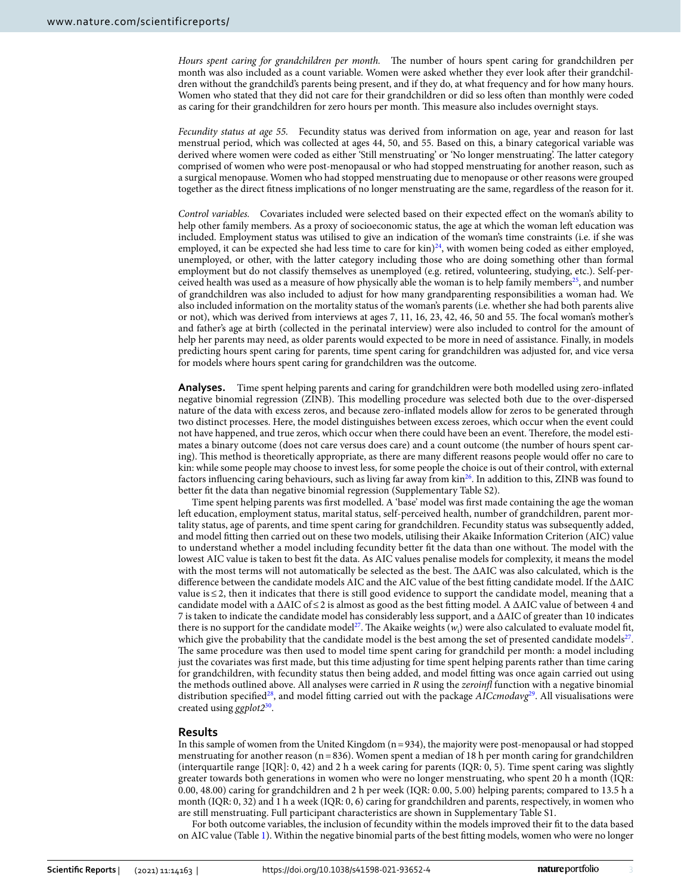*Hours spent caring for grandchildren per month.* The number of hours spent caring for grandchildren per month was also included as a count variable. Women were asked whether they ever look afer their grandchildren without the grandchild's parents being present, and if they do, at what frequency and for how many hours. Women who stated that they did not care for their grandchildren or did so less ofen than monthly were coded as caring for their grandchildren for zero hours per month. This measure also includes overnight stays.

*Fecundity status at age 55.* Fecundity status was derived from information on age, year and reason for last menstrual period, which was collected at ages 44, 50, and 55. Based on this, a binary categorical variable was derived where women were coded as either 'Still menstruating' or 'No longer menstruating'. The latter category comprised of women who were post-menopausal or who had stopped menstruating for another reason, such as a surgical menopause. Women who had stopped menstruating due to menopause or other reasons were grouped together as the direct ftness implications of no longer menstruating are the same, regardless of the reason for it.

*Control variables.* Covariates included were selected based on their expected efect on the woman's ability to help other family members. As a proxy of socioeconomic status, the age at which the woman left education was included. Employment status was utilised to give an indication of the woman's time constraints (i.e. if she was employed, it can be expected she had less time to care for  $\text{kin})^{24}$  $\text{kin})^{24}$  $\text{kin})^{24}$ , with women being coded as either employed, unemployed, or other, with the latter category including those who are doing something other than formal employment but do not classify themselves as unemployed (e.g. retired, volunteering, studying, etc.). Self-per-ceived health was used as a measure of how physically able the woman is to help family members<sup>[25](#page-5-16)</sup>, and number of grandchildren was also included to adjust for how many grandparenting responsibilities a woman had. We also included information on the mortality status of the woman's parents (i.e. whether she had both parents alive or not), which was derived from interviews at ages 7, 11, 16, 23, 42, 46, 50 and 55. The focal woman's mother's and father's age at birth (collected in the perinatal interview) were also included to control for the amount of help her parents may need, as older parents would expected to be more in need of assistance. Finally, in models predicting hours spent caring for parents, time spent caring for grandchildren was adjusted for, and vice versa for models where hours spent caring for grandchildren was the outcome.

**Analyses.** Time spent helping parents and caring for grandchildren were both modelled using zero-infated negative binomial regression (ZINB). Tis modelling procedure was selected both due to the over-dispersed nature of the data with excess zeros, and because zero-infated models allow for zeros to be generated through two distinct processes. Here, the model distinguishes between excess zeroes, which occur when the event could not have happened, and true zeros, which occur when there could have been an event. Therefore, the model estimates a binary outcome (does not care versus does care) and a count outcome (the number of hours spent caring). Tis method is theoretically appropriate, as there are many diferent reasons people would ofer no care to kin: while some people may choose to invest less, for some people the choice is out of their control, with external factors infuencing caring behaviours, such as living far away from kin[26](#page-5-17). In addition to this, ZINB was found to better ft the data than negative binomial regression (Supplementary Table S2).

Time spent helping parents was frst modelled. A 'base' model was frst made containing the age the woman left education, employment status, marital status, self-perceived health, number of grandchildren, parent mortality status, age of parents, and time spent caring for grandchildren. Fecundity status was subsequently added, and model ftting then carried out on these two models, utilising their Akaike Information Criterion (AIC) value to understand whether a model including fecundity better fit the data than one without. The model with the lowest AIC value is taken to best ft the data. As AIC values penalise models for complexity, it means the model with the most terms will not automatically be selected as the best. The ΔAIC was also calculated, which is the diference between the candidate models AIC and the AIC value of the best ftting candidate model. If the ΔAIC value is≤2, then it indicates that there is still good evidence to support the candidate model, meaning that a candidate model with a  $\Delta AIC$  of  $\leq$  2 is almost as good as the best fitting model. A  $\Delta AIC$  value of between 4 and 7 is taken to indicate the candidate model has considerably less support, and a ΔAIC of greater than 10 indicates there is no support for the candidate model<sup>27</sup>. The Akaike weights  $(w_i)$  were also calculated to evaluate model fit, which give the probability that the candidate model is the best among the set of presented candidate models $27$ . The same procedure was then used to model time spent caring for grandchild per month: a model including just the covariates was frst made, but this time adjusting for time spent helping parents rather than time caring for grandchildren, with fecundity status then being added, and model ftting was once again carried out using the methods outlined above. All analyses were carried in *R* using the *zeroinf* function with a negative binomial distribution specifed[28](#page-5-19), and model ftting carried out with the package *AICcmodavg*[29.](#page-5-20) All visualisations were created using *ggplot2*[30](#page-5-21).

# **Results**

In this sample of women from the United Kingdom  $(n=934)$ , the majority were post-menopausal or had stopped menstruating for another reason ( $n=836$ ). Women spent a median of 18 h per month caring for grandchildren (interquartile range [IQR]: 0, 42) and 2 h a week caring for parents (IQR: 0, 5). Time spent caring was slightly greater towards both generations in women who were no longer menstruating, who spent 20 h a month (IQR: 0.00, 48.00) caring for grandchildren and 2 h per week (IQR: 0.00, 5.00) helping parents; compared to 13.5 h a month (IQR: 0, 32) and 1 h a week (IQR: 0, 6) caring for grandchildren and parents, respectively, in women who are still menstruating. Full participant characteristics are shown in Supplementary Table S1.

For both outcome variables, the inclusion of fecundity within the models improved their ft to the data based on AIC value (Table [1\)](#page-3-0). Within the negative binomial parts of the best ftting models, women who were no longer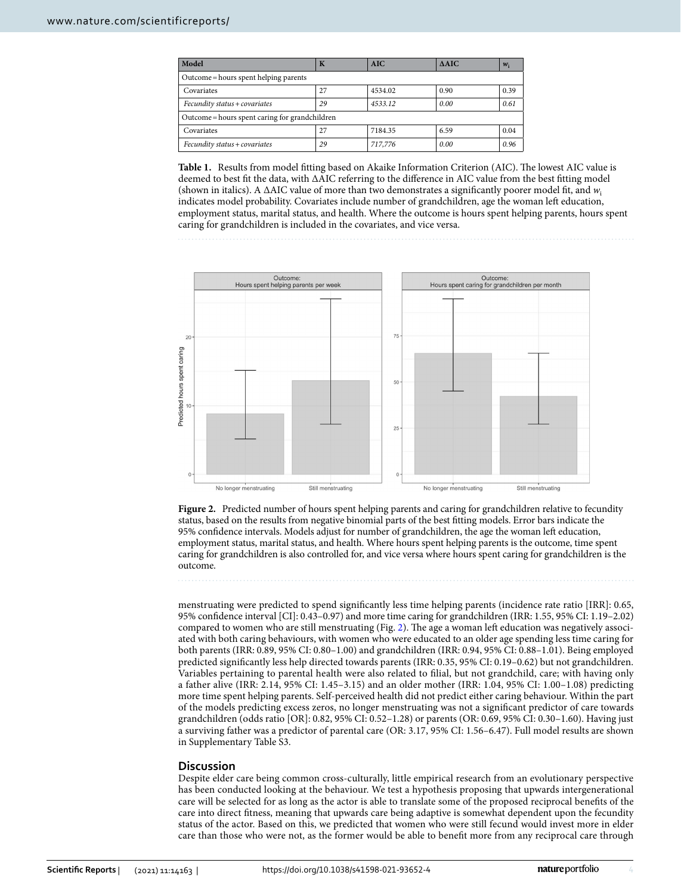| Model                                          | K  | <b>AIC</b> | $\triangle AIC$ | $w_i$ |
|------------------------------------------------|----|------------|-----------------|-------|
| Outcome = hours spent helping parents          |    |            |                 |       |
| Covariates                                     | 27 | 4534.02    | 0.90            | 0.39  |
| Fecundity status + covariates                  | 29 | 4533.12    | 0.00            | 0.61  |
| Outcome = hours spent caring for grandchildren |    |            |                 |       |
| Covariates                                     | 27 | 7184.35    | 6.59            | 0.04  |
| Fecundity status + covariates                  | 29 | 717,776    | 0.00            | 0.96  |

<span id="page-3-0"></span>Table 1. Results from model fitting based on Akaike Information Criterion (AIC). The lowest AIC value is deemed to best ft the data, with ΔAIC referring to the diference in AIC value from the best ftting model (shown in italics). A ΔAIC value of more than two demonstrates a signifcantly poorer model ft, and *w*<sup>i</sup> indicates model probability. Covariates include number of grandchildren, age the woman left education, employment status, marital status, and health. Where the outcome is hours spent helping parents, hours spent caring for grandchildren is included in the covariates, and vice versa.



<span id="page-3-1"></span>Figure 2. Predicted number of hours spent helping parents and caring for grandchildren relative to fecundity status, based on the results from negative binomial parts of the best ftting models. Error bars indicate the 95% confidence intervals. Models adjust for number of grandchildren, the age the woman left education, employment status, marital status, and health. Where hours spent helping parents is the outcome, time spent caring for grandchildren is also controlled for, and vice versa where hours spent caring for grandchildren is the outcome.

menstruating were predicted to spend signifcantly less time helping parents (incidence rate ratio [IRR]: 0.65, 95% confdence interval [CI]: 0.43–0.97) and more time caring for grandchildren (IRR: 1.55, 95% CI: 1.19–2.02) compared to women who are still menstruating (Fig. [2](#page-3-1)). The age a woman left education was negatively associated with both caring behaviours, with women who were educated to an older age spending less time caring for both parents (IRR: 0.89, 95% CI: 0.80–1.00) and grandchildren (IRR: 0.94, 95% CI: 0.88–1.01). Being employed predicted signifcantly less help directed towards parents (IRR: 0.35, 95% CI: 0.19–0.62) but not grandchildren. Variables pertaining to parental health were also related to flial, but not grandchild, care; with having only a father alive (IRR: 2.14, 95% CI: 1.45–3.15) and an older mother (IRR: 1.04, 95% CI: 1.00–1.08) predicting more time spent helping parents. Self-perceived health did not predict either caring behaviour. Within the part of the models predicting excess zeros, no longer menstruating was not a signifcant predictor of care towards grandchildren (odds ratio [OR]: 0.82, 95% CI: 0.52–1.28) or parents (OR: 0.69, 95% CI: 0.30–1.60). Having just a surviving father was a predictor of parental care (OR: 3.17, 95% CI: 1.56–6.47). Full model results are shown in Supplementary Table S3.

# **Discussion**

Despite elder care being common cross-culturally, little empirical research from an evolutionary perspective has been conducted looking at the behaviour. We test a hypothesis proposing that upwards intergenerational care will be selected for as long as the actor is able to translate some of the proposed reciprocal benefts of the care into direct ftness, meaning that upwards care being adaptive is somewhat dependent upon the fecundity status of the actor. Based on this, we predicted that women who were still fecund would invest more in elder care than those who were not, as the former would be able to beneft more from any reciprocal care through

4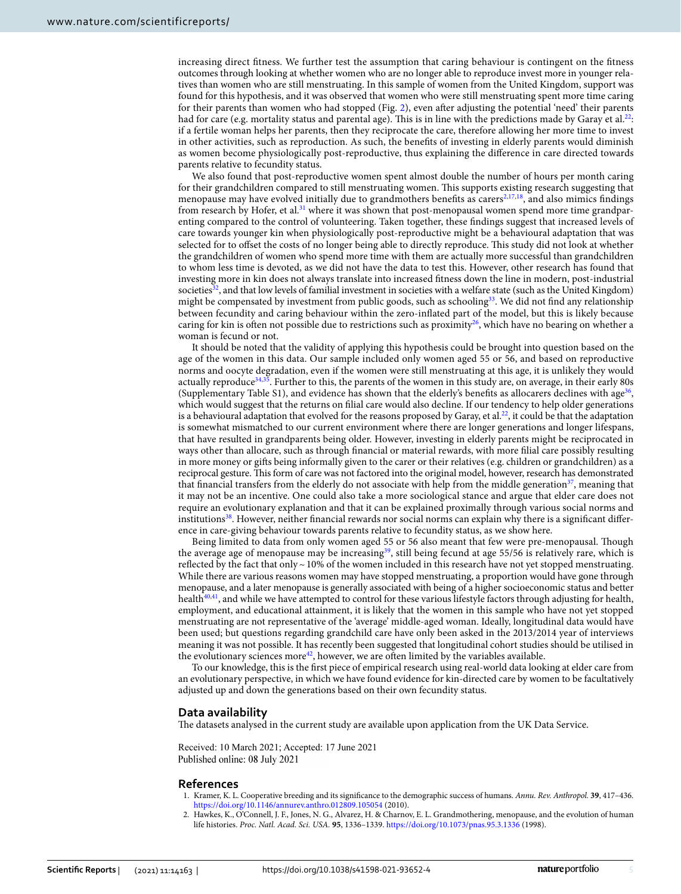increasing direct ftness. We further test the assumption that caring behaviour is contingent on the ftness outcomes through looking at whether women who are no longer able to reproduce invest more in younger relatives than women who are still menstruating. In this sample of women from the United Kingdom, support was found for this hypothesis, and it was observed that women who were still menstruating spent more time caring for their parents than women who had stopped (Fig. [2](#page-3-1)), even afer adjusting the potential 'need' their parents had for care (e.g. mortality status and parental age). This is in line with the predictions made by Garay et al.<sup>22</sup>: if a fertile woman helps her parents, then they reciprocate the care, therefore allowing her more time to invest in other activities, such as reproduction. As such, the benefts of investing in elderly parents would diminish as women become physiologically post-reproductive, thus explaining the diference in care directed towards parents relative to fecundity status.

We also found that post-reproductive women spent almost double the number of hours per month caring for their grandchildren compared to still menstruating women. This supports existing research suggesting that menopause may have evolved initially due to grandmothers benefits as carers<sup>2,[17](#page-5-22),[18](#page-5-23)</sup>, and also mimics findings from research by Hofer, et al.<sup>[31](#page-5-24)</sup> where it was shown that post-menopausal women spend more time grandparenting compared to the control of volunteering. Taken together, these fndings suggest that increased levels of care towards younger kin when physiologically post-reproductive might be a behavioural adaptation that was selected for to ofset the costs of no longer being able to directly reproduce. Tis study did not look at whether the grandchildren of women who spend more time with them are actually more successful than grandchildren to whom less time is devoted, as we did not have the data to test this. However, other research has found that investing more in kin does not always translate into increased ftness down the line in modern, post-industrial societies<sup>[32](#page-5-25)</sup>, and that low levels of familial investment in societies with a welfare state (such as the United Kingdom) might be compensated by investment from public goods, such as schooling<sup>33</sup>. We did not find any relationship between fecundity and caring behaviour within the zero-infated part of the model, but this is likely because caring for kin is often not possible due to restrictions such as proximity<sup>26</sup>, which have no bearing on whether a woman is fecund or not.

It should be noted that the validity of applying this hypothesis could be brought into question based on the age of the women in this data. Our sample included only women aged 55 or 56, and based on reproductive norms and oocyte degradation, even if the women were still menstruating at this age, it is unlikely they would actually reproduc[e34,](#page-5-27)[35.](#page-5-28) Further to this, the parents of the women in this study are, on average, in their early 80s (Supplementary Table S1), and evidence has shown that the elderly's benefits as allocarers declines with age<sup>36</sup>, which would suggest that the returns on flial care would also decline. If our tendency to help older generations is a behavioural adaptation that evolved for the reasons proposed by Garay, et al.<sup>[22](#page-5-13)</sup>, it could be that the adaptation is somewhat mismatched to our current environment where there are longer generations and longer lifespans, that have resulted in grandparents being older. However, investing in elderly parents might be reciprocated in ways other than allocare, such as through fnancial or material rewards, with more flial care possibly resulting in more money or gifs being informally given to the carer or their relatives (e.g. children or grandchildren) as a reciprocal gesture. Tis form of care was not factored into the original model, however, research has demonstrated that financial transfers from the elderly do not associate with help from the middle generation $37$ , meaning that it may not be an incentive. One could also take a more sociological stance and argue that elder care does not require an evolutionary explanation and that it can be explained proximally through various social norms and institutions<sup>38</sup>. However, neither financial rewards nor social norms can explain why there is a significant difference in care-giving behaviour towards parents relative to fecundity status, as we show here.

Being limited to data from only women aged 55 or 56 also meant that few were pre-menopausal. Tough the average age of menopause may be increasing<sup>39</sup>, still being fecund at age 55/56 is relatively rare, which is reflected by the fact that only  $\sim$  10% of the women included in this research have not yet stopped menstruating. While there are various reasons women may have stopped menstruating, a proportion would have gone through menopause, and a later menopause is generally associated with being of a higher socioeconomic status and better health $40,41$ , and while we have attempted to control for these various lifestyle factors through adjusting for health, employment, and educational attainment, it is likely that the women in this sample who have not yet stopped menstruating are not representative of the 'average' middle-aged woman. Ideally, longitudinal data would have been used; but questions regarding grandchild care have only been asked in the 2013/2014 year of interviews meaning it was not possible. It has recently been suggested that longitudinal cohort studies should be utilised in the evolutionary sciences more $42$ , however, we are often limited by the variables available.

To our knowledge, this is the frst piece of empirical research using real-world data looking at elder care from an evolutionary perspective, in which we have found evidence for kin-directed care by women to be facultatively adjusted up and down the generations based on their own fecundity status.

#### **Data availability**

The datasets analysed in the current study are available upon application from the UK Data Service.

Received: 10 March 2021; Accepted: 17 June 2021 Published online: 08 July 2021

#### **References**

- <span id="page-4-0"></span>1. Kramer, K. L. Cooperative breeding and its signifcance to the demographic success of humans. *Annu. Rev. Anthropol.* **39**, 417–436. <https://doi.org/10.1146/annurev.anthro.012809.105054>(2010).
- <span id="page-4-1"></span>2. Hawkes, K., O'Connell, J. F., Jones, N. G., Alvarez, H. & Charnov, E. L. Grandmothering, menopause, and the evolution of human life histories. *Proc. Natl. Acad. Sci. USA.* **95**, 1336–1339. <https://doi.org/10.1073/pnas.95.3.1336>(1998).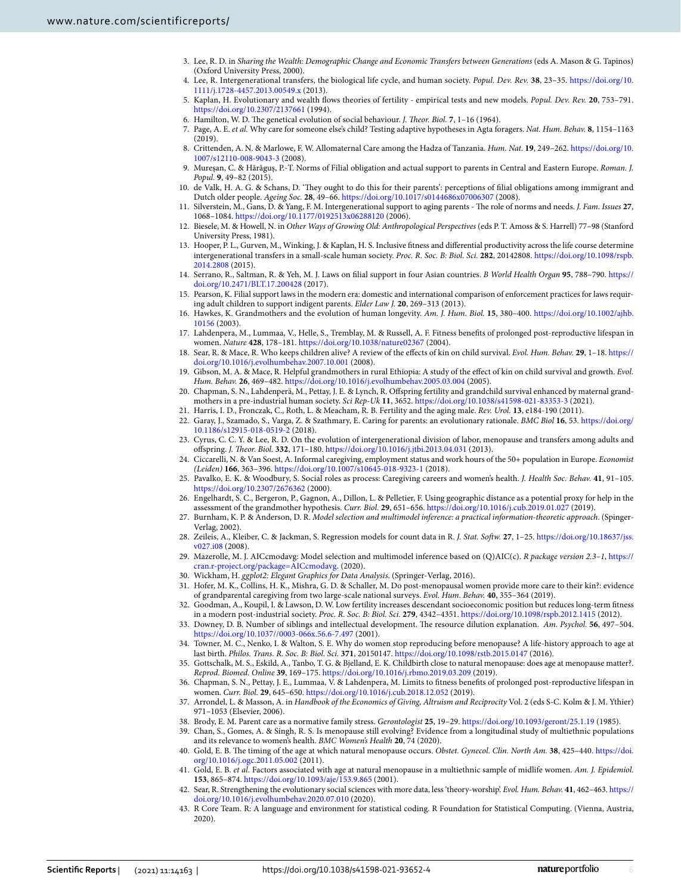- <span id="page-5-0"></span>3. Lee, R. D. in *Sharing the Wealth: Demographic Change and Economic Transfers between Generations* (eds A. Mason & G. Tapinos) (Oxford University Press, 2000).
- 4. Lee, R. Intergenerational transfers, the biological life cycle, and human society. *Popul. Dev. Rev.* **38**, 23–35. [https://doi.org/10.](https://doi.org/10.1111/j.1728-4457.2013.00549.x) [1111/j.1728-4457.2013.00549.x](https://doi.org/10.1111/j.1728-4457.2013.00549.x) (2013).
- <span id="page-5-1"></span>5. Kaplan, H. Evolutionary and wealth fows theories of fertility - empirical tests and new models. *Popul. Dev. Rev.* **20**, 753–791. <https://doi.org/10.2307/2137661>(1994).
- <span id="page-5-2"></span>6. Hamilton, W. D. The genetical evolution of social behaviour. *J. Theor. Biol.* 7, 1-16 (1964).
- 7. Page, A. E. *et al.* Why care for someone else's child? Testing adaptive hypotheses in Agta foragers. *Nat. Hum. Behav.* **8**, 1154–1163 (2019).
- <span id="page-5-3"></span>8. Crittenden, A. N. & Marlowe, F. W. Allomaternal Care among the Hadza of Tanzania. *Hum. Nat.* **19**, 249–262. [https://doi.org/10.](https://doi.org/10.1007/s12110-008-9043-3) [1007/s12110-008-9043-3](https://doi.org/10.1007/s12110-008-9043-3) (2008).
- <span id="page-5-4"></span>9. Mureşan, C. & Hărăguş, P.-T. Norms of Filial obligation and actual support to parents in Central and Eastern Europe. *Roman. J. Popul.* **9**, 49–82 (2015).
- 10. de Valk, H. A. G. & Schans, D. 'Tey ought to do this for their parents': perceptions of flial obligations among immigrant and Dutch older people. *Ageing Soc.* **28**, 49–66. <https://doi.org/10.1017/s0144686x07006307>(2008).
- <span id="page-5-5"></span>11. Silverstein, M., Gans, D. & Yang, F. M. Intergenerational support to aging parents - The role of norms and needs. *J. Fam. Issues* 27, 1068–1084. <https://doi.org/10.1177/0192513x06288120>(2006).
- <span id="page-5-6"></span>12. Biesele, M. & Howell, N. in *Other Ways of Growing Old: Anthropological Perspectives* (eds P. T. Amoss & S. Harrell) 77–98 (Stanford University Press, 1981).
- <span id="page-5-7"></span>13. Hooper, P. L., Gurven, M., Winking, J. & Kaplan, H. S. Inclusive ftness and diferential productivity across the life course determine intergenerational transfers in a small-scale human society. *Proc. R. Soc. B: Biol. Sci.* **282**, 20142808. [https://doi.org/10.1098/rspb.](https://doi.org/10.1098/rspb.2014.2808) [2014.2808](https://doi.org/10.1098/rspb.2014.2808) (2015).
- <span id="page-5-8"></span>14. Serrano, R., Saltman, R. & Yeh, M. J. Laws on flial support in four Asian countries. *B World Health Organ* **95**, 788–790. [https://](https://doi.org/10.2471/BLT.17.200428) [doi.org/10.2471/BLT.17.200428](https://doi.org/10.2471/BLT.17.200428) (2017).
- <span id="page-5-9"></span>15. Pearson, K. Filial support laws in the modern era: domestic and international comparison of enforcement practices for laws requiring adult children to support indigent parents. *Elder Law J.* **20**, 269–313 (2013).
- <span id="page-5-10"></span>16. Hawkes, K. Grandmothers and the evolution of human longevity. *Am. J. Hum. Biol.* **15**, 380–400. [https://doi.org/10.1002/ajhb.](https://doi.org/10.1002/ajhb.10156) [10156](https://doi.org/10.1002/ajhb.10156) (2003).
- <span id="page-5-22"></span>17. Lahdenpera, M., Lummaa, V., Helle, S., Tremblay, M. & Russell, A. F. Fitness benefts of prolonged post-reproductive lifespan in women. *Nature* **428**, 178–181.<https://doi.org/10.1038/nature02367> (2004).
- <span id="page-5-23"></span>18. Sear, R. & Mace, R. Who keeps children alive? A review of the efects of kin on child survival. *Evol. Hum. Behav.* **29**, 1–18. [https://](https://doi.org/10.1016/j.evolhumbehav.2007.10.001) [doi.org/10.1016/j.evolhumbehav.2007.10.001](https://doi.org/10.1016/j.evolhumbehav.2007.10.001) (2008).
- 19. Gibson, M. A. & Mace, R. Helpful grandmothers in rural Ethiopia: A study of the efect of kin on child survival and growth. *Evol. Hum. Behav.* **26**, 469–482.<https://doi.org/10.1016/j.evolhumbehav.2005.03.004>(2005).
- <span id="page-5-11"></span>20. Chapman, S. N., Lahdenperä, M., Pettay, J. E. & Lynch, R. Ofspring fertility and grandchild survival enhanced by maternal grandmothers in a pre-industrial human society. *Sci Rep-Uk* **11**, 3652.<https://doi.org/10.1038/s41598-021-83353-3>(2021).
- <span id="page-5-12"></span>21. Harris, I. D., Fronczak, C., Roth, L. & Meacham, R. B. Fertility and the aging male. *Rev. Urol.* **13**, e184-190 (2011).
- <span id="page-5-13"></span>22. Garay, J., Szamado, S., Varga, Z. & Szathmary, E. Caring for parents: an evolutionary rationale. *BMC Biol* **16**, 53. [https://doi.org/](https://doi.org/10.1186/s12915-018-0519-2) [10.1186/s12915-018-0519-2](https://doi.org/10.1186/s12915-018-0519-2) (2018).
- <span id="page-5-14"></span>23. Cyrus, C. C. Y. & Lee, R. D. On the evolution of intergenerational division of labor, menopause and transfers among adults and ofspring. *J. Teor. Biol.* **332**, 171–180. <https://doi.org/10.1016/j.jtbi.2013.04.031> (2013).
- <span id="page-5-15"></span>24. Ciccarelli, N. & Van Soest, A. Informal caregiving, employment status and work hours of the 50+ population in Europe. *Economist (Leiden)* **166**, 363–396.<https://doi.org/10.1007/s10645-018-9323-1> (2018).
- <span id="page-5-16"></span>25. Pavalko, E. K. & Woodbury, S. Social roles as process: Caregiving careers and women's health. *J. Health Soc. Behav.* **41**, 91–105. <https://doi.org/10.2307/2676362> (2000).
- <span id="page-5-17"></span>26. Engelhardt, S. C., Bergeron, P., Gagnon, A., Dillon, L. & Pelletier, F. Using geographic distance as a potential proxy for help in the assessment of the grandmother hypothesis. *Curr. Biol.* **29**, 651–656.<https://doi.org/10.1016/j.cub.2019.01.027>(2019).
- <span id="page-5-18"></span>27. Burnham, K. P. & Anderson, D. R. *Model selection and multimodel inference: a practical information-theoretic approach*. (Spinger-Verlag, 2002).
- <span id="page-5-19"></span>28. Zeileis, A., Kleiber, C. & Jackman, S. Regression models for count data in R. *J. Stat. Sofw.* **27**, 1–25. [https://doi.org/10.18637/jss.](https://doi.org/10.18637/jss.v027.i08) [v027.i08](https://doi.org/10.18637/jss.v027.i08) (2008).
- <span id="page-5-20"></span>29. Mazerolle, M. J. AICcmodavg: Model selection and multimodel inference based on (Q)AIC(c). *R package version 2.3–1*, [https://](https://cran.r-project.org/package=AICcmodavg) [cran.r-project.org/package=AICcmodavg](https://cran.r-project.org/package=AICcmodavg). (2020).
- <span id="page-5-21"></span>30. Wickham, H. *ggplot2: Elegant Graphics for Data Analysis*. (Springer-Verlag, 2016).
- <span id="page-5-24"></span>31. Hofer, M. K., Collins, H. K., Mishra, G. D. & Schaller, M. Do post-menopausal women provide more care to their kin?: evidence of grandparental caregiving from two large-scale national surveys. *Evol. Hum. Behav.* **40**, 355–364 (2019).
- <span id="page-5-25"></span>32. Goodman, A., Koupil, I. & Lawson, D. W. Low fertility increases descendant socioeconomic position but reduces long-term ftness in a modern post-industrial society. *Proc. R. Soc. B: Biol. Sci.* **279**, 4342–4351.<https://doi.org/10.1098/rspb.2012.1415>(2012).
- <span id="page-5-26"></span>33. Downey, D. B. Number of siblings and intellectual development. The resource dilution explanation. Am. Psychol. 56, 497-504. <https://doi.org/10.1037//0003-066x.56.6-7.497> (2001).
- <span id="page-5-27"></span>34. Towner, M. C., Nenko, I. & Walton, S. E. Why do women stop reproducing before menopause? A life-history approach to age at last birth. *Philos. Trans. R. Soc. B: Biol. Sci.* **371**, 20150147.<https://doi.org/10.1098/rstb.2015.0147> (2016).
- <span id="page-5-28"></span>35. Gottschalk, M. S., Eskild, A., Tanbo, T. G. & Bjelland, E. K. Childbirth close to natural menopause: does age at menopause matter?. *Reprod. Biomed. Online* **39**, 169–175.<https://doi.org/10.1016/j.rbmo.2019.03.209>(2019).
- <span id="page-5-29"></span>36. Chapman, S. N., Pettay, J. E., Lummaa, V. & Lahdenpera, M. Limits to ftness benefts of prolonged post-reproductive lifespan in women. *Curr. Biol.* **29**, 645–650. <https://doi.org/10.1016/j.cub.2018.12.052> (2019).
- <span id="page-5-30"></span>37. Arrondel, L. & Masson, A. in *Handbook of the Economics of Giving, Altruism and Reciprocity* Vol. 2 (eds S-C. Kolm & J. M. Ythier) 971–1053 (Elsevier, 2006).
- <span id="page-5-31"></span>38. Brody, E. M. Parent care as a normative family stress. *Gerontologist* **25**, 19–29.<https://doi.org/10.1093/geront/25.1.19>(1985).
- <span id="page-5-32"></span>39. Chan, S., Gomes, A. & Singh, R. S. Is menopause still evolving? Evidence from a longitudinal study of multiethnic populations and its relevance to women's health. *BMC Women's Health* **20**, 74 (2020).
- <span id="page-5-33"></span>40. Gold, E. B. Te timing of the age at which natural menopause occurs. *Obstet. Gynecol. Clin. North Am.* **38**, 425–440. [https://doi.](https://doi.org/10.1016/j.ogc.2011.05.002) [org/10.1016/j.ogc.2011.05.002](https://doi.org/10.1016/j.ogc.2011.05.002) (2011).
- <span id="page-5-34"></span>41. Gold, E. B. *et al.* Factors associated with age at natural menopause in a multiethnic sample of midlife women. *Am. J. Epidemiol.* **153**, 865–874.<https://doi.org/10.1093/aje/153.9.865> (2001).
- <span id="page-5-35"></span>42. Sear, R. Strengthening the evolutionary social sciences with more data, less 'theory-worship'. *Evol. Hum. Behav.* **41**, 462–463. [https://](https://doi.org/10.1016/j.evolhumbehav.2020.07.010) [doi.org/10.1016/j.evolhumbehav.2020.07.010](https://doi.org/10.1016/j.evolhumbehav.2020.07.010) (2020).
- 43. R Core Team. R: A language and environment for statistical coding. R Foundation for Statistical Computing. (Vienna, Austria, 2020).